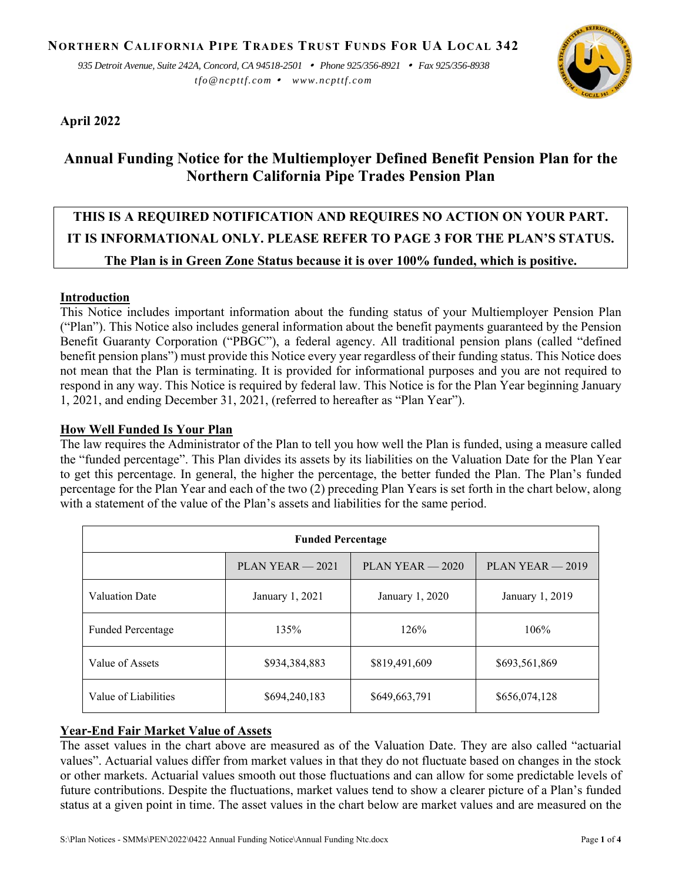*935 Detroit Avenue, Suite 242A, Concord, CA 94518-2501 Phone 925/356-8921 Fax 925/356-8938 tfo@ncpttf.com www.ncpttf.com*



# **April 2022**

# **Annual Funding Notice for the Multiemployer Defined Benefit Pension Plan for the Northern California Pipe Trades Pension Plan**

# **THIS IS A REQUIRED NOTIFICATION AND REQUIRES NO ACTION ON YOUR PART. IT IS INFORMATIONAL ONLY. PLEASE REFER TO PAGE 3 FOR THE PLAN'S STATUS. The Plan is in Green Zone Status because it is over 100% funded, which is positive.**

## **Introduction**

This Notice includes important information about the funding status of your Multiemployer Pension Plan ("Plan"). This Notice also includes general information about the benefit payments guaranteed by the Pension Benefit Guaranty Corporation ("PBGC"), a federal agency. All traditional pension plans (called "defined benefit pension plans") must provide this Notice every year regardless of their funding status. This Notice does not mean that the Plan is terminating. It is provided for informational purposes and you are not required to respond in any way. This Notice is required by federal law. This Notice is for the Plan Year beginning January 1, 2021, and ending December 31, 2021, (referred to hereafter as "Plan Year").

## **How Well Funded Is Your Plan**

The law requires the Administrator of the Plan to tell you how well the Plan is funded, using a measure called the "funded percentage". This Plan divides its assets by its liabilities on the Valuation Date for the Plan Year to get this percentage. In general, the higher the percentage, the better funded the Plan. The Plan's funded percentage for the Plan Year and each of the two (2) preceding Plan Years is set forth in the chart below, along with a statement of the value of the Plan's assets and liabilities for the same period.

| <b>Funded Percentage</b> |                    |                    |                    |  |  |
|--------------------------|--------------------|--------------------|--------------------|--|--|
|                          | $PLAN YEAR - 2021$ | $PLAN YEAR - 2020$ | $PLAN YEAR - 2019$ |  |  |
| Valuation Date           | January 1, 2021    | January 1, 2020    | January 1, 2019    |  |  |
| <b>Funded Percentage</b> | 135%               | 126%               | 106%               |  |  |
| Value of Assets          | \$934,384,883      | \$819,491,609      | \$693,561,869      |  |  |
| Value of Liabilities     | \$694,240,183      | \$649,663,791      | \$656,074,128      |  |  |

# **Year-End Fair Market Value of Assets**

The asset values in the chart above are measured as of the Valuation Date. They are also called "actuarial values". Actuarial values differ from market values in that they do not fluctuate based on changes in the stock or other markets. Actuarial values smooth out those fluctuations and can allow for some predictable levels of future contributions. Despite the fluctuations, market values tend to show a clearer picture of a Plan's funded status at a given point in time. The asset values in the chart below are market values and are measured on the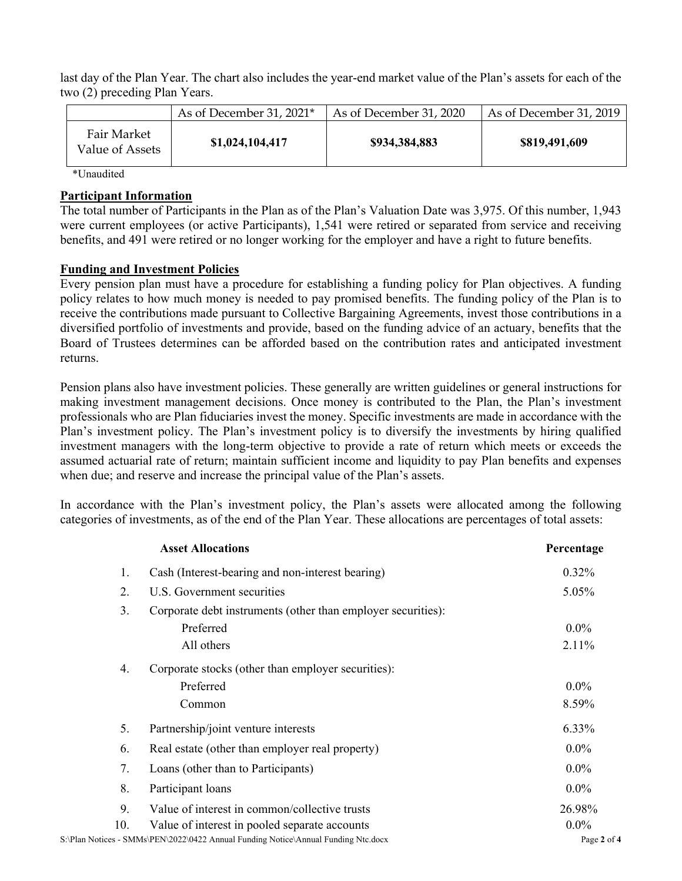last day of the Plan Year. The chart also includes the year-end market value of the Plan's assets for each of the two (2) preceding Plan Years.

|                                | As of December 31, 2021* | As of December 31, 2020 | As of December 31, 2019 |
|--------------------------------|--------------------------|-------------------------|-------------------------|
| Fair Market<br>Value of Assets | \$1,024,104,417          | \$934,384,883           | \$819,491,609           |

\*Unaudited

#### **Participant Information**

The total number of Participants in the Plan as of the Plan's Valuation Date was 3,975. Of this number, 1,943 were current employees (or active Participants), 1,541 were retired or separated from service and receiving benefits, and 491 were retired or no longer working for the employer and have a right to future benefits.

#### **Funding and Investment Policies**

Every pension plan must have a procedure for establishing a funding policy for Plan objectives. A funding policy relates to how much money is needed to pay promised benefits. The funding policy of the Plan is to receive the contributions made pursuant to Collective Bargaining Agreements, invest those contributions in a diversified portfolio of investments and provide, based on the funding advice of an actuary, benefits that the Board of Trustees determines can be afforded based on the contribution rates and anticipated investment returns.

Pension plans also have investment policies. These generally are written guidelines or general instructions for making investment management decisions. Once money is contributed to the Plan, the Plan's investment professionals who are Plan fiduciaries invest the money. Specific investments are made in accordance with the Plan's investment policy. The Plan's investment policy is to diversify the investments by hiring qualified investment managers with the long-term objective to provide a rate of return which meets or exceeds the assumed actuarial rate of return; maintain sufficient income and liquidity to pay Plan benefits and expenses when due; and reserve and increase the principal value of the Plan's assets.

In accordance with the Plan's investment policy, the Plan's assets were allocated among the following categories of investments, as of the end of the Plan Year. These allocations are percentages of total assets:

| <b>Asset Allocations</b> |                                                                                    | Percentage  |  |
|--------------------------|------------------------------------------------------------------------------------|-------------|--|
| 1.                       | Cash (Interest-bearing and non-interest bearing)                                   | 0.32%       |  |
| 2.                       | U.S. Government securities                                                         | 5.05%       |  |
| 3.                       | Corporate debt instruments (other than employer securities):                       |             |  |
|                          | Preferred                                                                          | $0.0\%$     |  |
|                          | All others                                                                         | 2.11%       |  |
| 4.                       | Corporate stocks (other than employer securities):                                 |             |  |
|                          | Preferred                                                                          | $0.0\%$     |  |
|                          | Common                                                                             | 8.59%       |  |
| 5.                       | Partnership/joint venture interests                                                | 6.33%       |  |
| 6.                       | Real estate (other than employer real property)                                    | $0.0\%$     |  |
| 7.                       | Loans (other than to Participants)                                                 | $0.0\%$     |  |
| 8.                       | Participant loans                                                                  | $0.0\%$     |  |
| 9.                       | Value of interest in common/collective trusts                                      | 26.98%      |  |
| 10.                      | Value of interest in pooled separate accounts                                      | $0.0\%$     |  |
|                          | S:\Plan Notices - SMMs\PEN\2022\0422 Annual Funding Notice\Annual Funding Ntc.docx | Page 2 of 4 |  |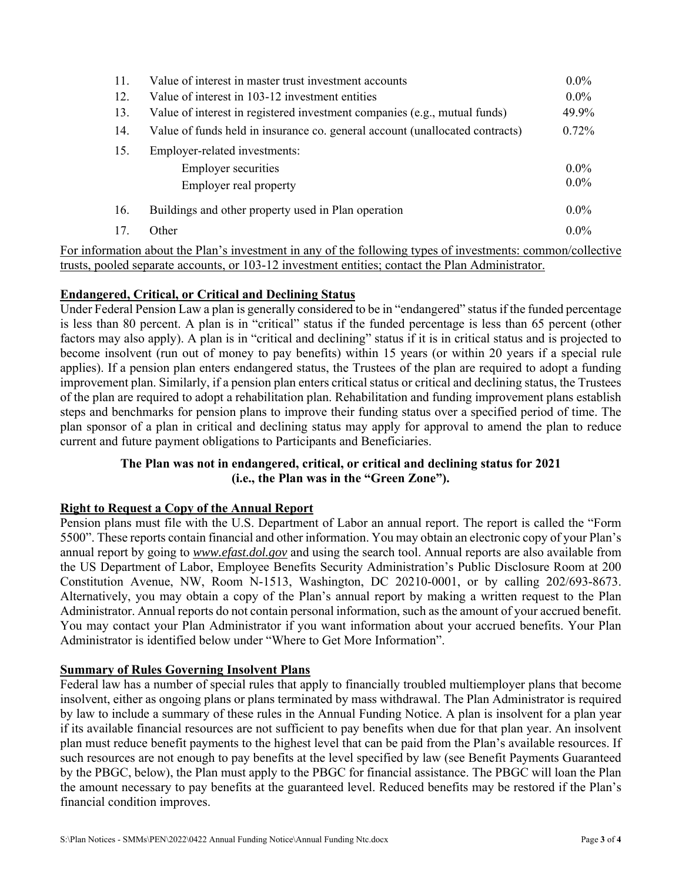| 11. | Value of interest in master trust investment accounts                        |          |
|-----|------------------------------------------------------------------------------|----------|
| 12. | Value of interest in 103-12 investment entities                              | $0.0\%$  |
| 13. | Value of interest in registered investment companies (e.g., mutual funds)    | 49.9%    |
| 14. | Value of funds held in insurance co. general account (unallocated contracts) | $0.72\%$ |
| 15. | Employer-related investments:                                                |          |
|     | <b>Employer securities</b>                                                   | $0.0\%$  |
|     | Employer real property                                                       | $0.0\%$  |
| 16. | Buildings and other property used in Plan operation                          | $0.0\%$  |
| 17. | Other                                                                        | $0.0\%$  |

For information about the Plan's investment in any of the following types of investments: common/collective trusts, pooled separate accounts, or 103-12 investment entities; contact the Plan Administrator.

#### **Endangered, Critical, or Critical and Declining Status**

Under Federal Pension Law a plan is generally considered to be in "endangered" status if the funded percentage is less than 80 percent. A plan is in "critical" status if the funded percentage is less than 65 percent (other factors may also apply). A plan is in "critical and declining" status if it is in critical status and is projected to become insolvent (run out of money to pay benefits) within 15 years (or within 20 years if a special rule applies). If a pension plan enters endangered status, the Trustees of the plan are required to adopt a funding improvement plan. Similarly, if a pension plan enters critical status or critical and declining status, the Trustees of the plan are required to adopt a rehabilitation plan. Rehabilitation and funding improvement plans establish steps and benchmarks for pension plans to improve their funding status over a specified period of time. The plan sponsor of a plan in critical and declining status may apply for approval to amend the plan to reduce current and future payment obligations to Participants and Beneficiaries.

#### **The Plan was not in endangered, critical, or critical and declining status for 2021 (i.e., the Plan was in the "Green Zone").**

#### **Right to Request a Copy of the Annual Report**

Pension plans must file with the U.S. Department of Labor an annual report. The report is called the "Form 5500". These reports contain financial and other information. You may obtain an electronic copy of your Plan's annual report by going to *www.efast.dol.gov* and using the search tool. Annual reports are also available from the US Department of Labor, Employee Benefits Security Administration's Public Disclosure Room at 200 Constitution Avenue, NW, Room N-1513, Washington, DC 20210-0001, or by calling 202/693-8673. Alternatively, you may obtain a copy of the Plan's annual report by making a written request to the Plan Administrator. Annual reports do not contain personal information, such as the amount of your accrued benefit. You may contact your Plan Administrator if you want information about your accrued benefits. Your Plan Administrator is identified below under "Where to Get More Information".

#### **Summary of Rules Governing Insolvent Plans**

Federal law has a number of special rules that apply to financially troubled multiemployer plans that become insolvent, either as ongoing plans or plans terminated by mass withdrawal. The Plan Administrator is required by law to include a summary of these rules in the Annual Funding Notice. A plan is insolvent for a plan year if its available financial resources are not sufficient to pay benefits when due for that plan year. An insolvent plan must reduce benefit payments to the highest level that can be paid from the Plan's available resources. If such resources are not enough to pay benefits at the level specified by law (see Benefit Payments Guaranteed by the PBGC, below), the Plan must apply to the PBGC for financial assistance. The PBGC will loan the Plan the amount necessary to pay benefits at the guaranteed level. Reduced benefits may be restored if the Plan's financial condition improves.